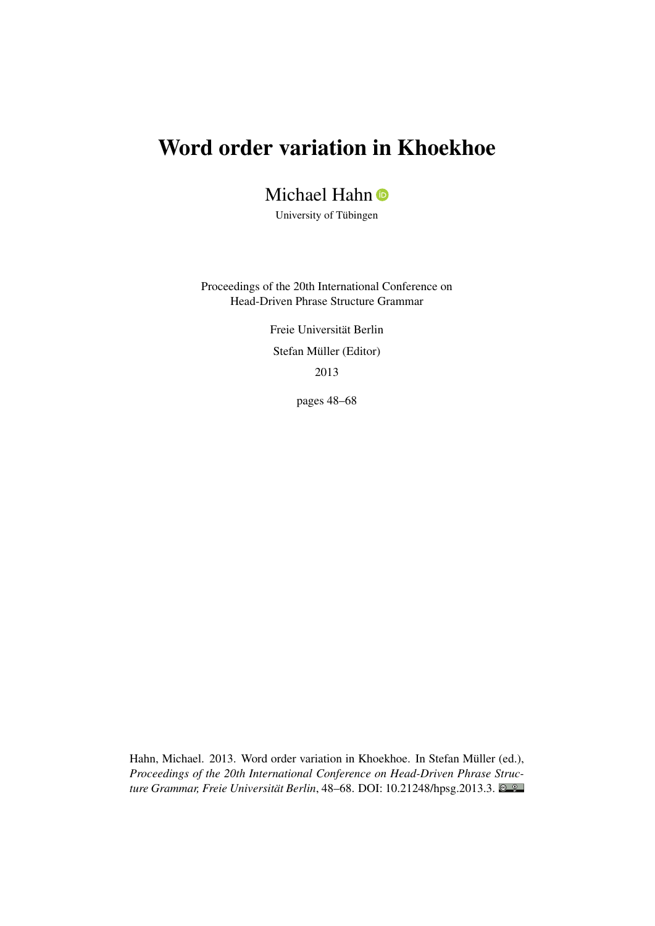# Word order variation in Khoekhoe

## Michael Hahn <sup>O</sup>

University of Tübingen

Proceedings of the 20th International Conference on Head-Driven Phrase Structure Grammar

> Freie Universität Berlin Stefan Müller (Editor) 2013

> > pages 48–68

Hahn, Michael. 2013. Word order variation in Khoekhoe. In Stefan Müller (ed.), *Proceedings of the 20th International Conference on Head-Driven Phrase Structure Grammar, Freie Universität Berlin*, 48–68. DOI: [10.21248/hpsg.2013.3.](http://doi.org/10.21248/hpsg.2013.3)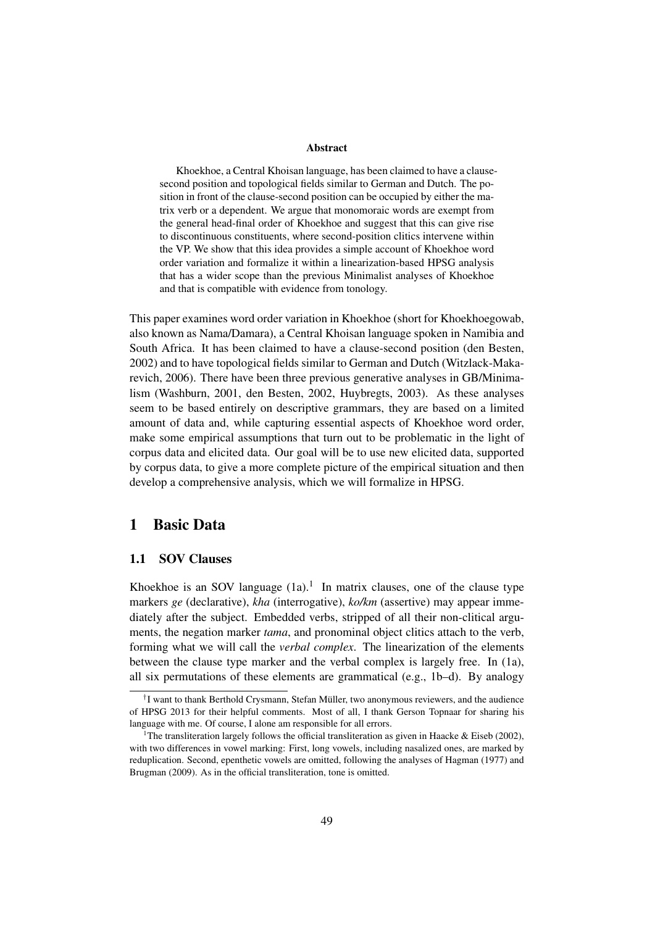#### Abstract

Khoekhoe, a Central Khoisan language, has been claimed to have a clausesecond position and topological fields similar to German and Dutch. The position in front of the clause-second position can be occupied by either the matrix verb or a dependent. We argue that monomoraic words are exempt from the general head-final order of Khoekhoe and suggest that this can give rise to discontinuous constituents, where second-position clitics intervene within the VP. We show that this idea provides a simple account of Khoekhoe word order variation and formalize it within a linearization-based HPSG analysis that has a wider scope than the previous Minimalist analyses of Khoekhoe and that is compatible with evidence from tonology.

This paper examines word order variation in Khoekhoe (short for Khoekhoegowab, also known as Nama/Damara), a Central Khoisan language spoken in Namibia and South Africa. It has been claimed to have a clause-second position (den Besten, 2002) and to have topological fields similar to German and Dutch (Witzlack-Makarevich, 2006). There have been three previous generative analyses in GB/Minimalism (Washburn, 2001, den Besten, 2002, Huybregts, 2003). As these analyses seem to be based entirely on descriptive grammars, they are based on a limited amount of data and, while capturing essential aspects of Khoekhoe word order, make some empirical assumptions that turn out to be problematic in the light of corpus data and elicited data. Our goal will be to use new elicited data, supported by corpus data, to give a more complete picture of the empirical situation and then develop a comprehensive analysis, which we will formalize in HPSG.

## 1 Basic Data

#### 1.1 SOV Clauses

Khoekhoe is an SOV language  $(1a)$ .<sup>1</sup> In matrix clauses, one of the clause type markers *ge* (declarative), *kha* (interrogative), *ko/km* (assertive) may appear immediately after the subject. Embedded verbs, stripped of all their non-clitical arguments, the negation marker *tama*, and pronominal object clitics attach to the verb, forming what we will call the *verbal complex*. The linearization of the elements between the clause type marker and the verbal complex is largely free. In (1a), all six permutations of these elements are grammatical (e.g., 1b–d). By analogy

<sup>&</sup>lt;sup>†</sup>I want to thank Berthold Crysmann, Stefan Müller, two anonymous reviewers, and the audience of HPSG 2013 for their helpful comments. Most of all, I thank Gerson Topnaar for sharing his language with me. Of course, I alone am responsible for all errors.

<sup>&</sup>lt;sup>1</sup>The transliteration largely follows the official transliteration as given in Haacke & Eiseb (2002), with two differences in vowel marking: First, long vowels, including nasalized ones, are marked by reduplication. Second, epenthetic vowels are omitted, following the analyses of Hagman (1977) and Brugman (2009). As in the official transliteration, tone is omitted.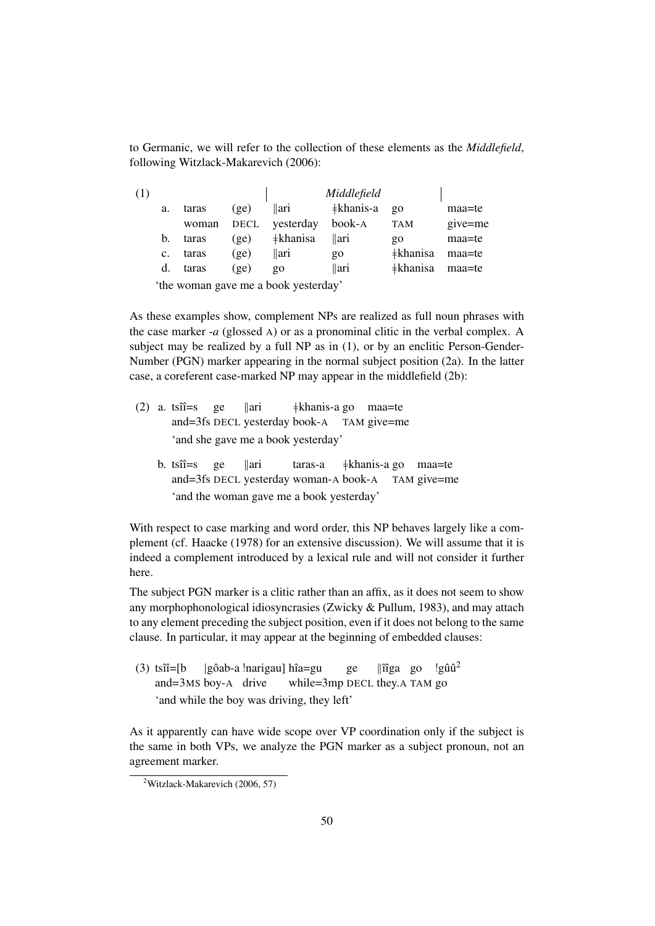to Germanic, we will refer to the collection of these elements as the *Middlefield*, following Witzlack-Makarevich (2006):

| (1) |             |       |      |                                                        | Middlefield               |                        |         |
|-----|-------------|-------|------|--------------------------------------------------------|---------------------------|------------------------|---------|
|     | a.          | taras | (ge) | $\parallel$ ari                                        | $\frac{1}{2}$ khanis-a go |                        | maa=te  |
|     |             | woman |      | DECL yesterday                                         | book-A                    | <b>TAM</b>             | give=me |
|     | b.          | taras | (ge) | $\pm$ khanisa                                          | $\ $ ari                  | go                     | maa=te  |
|     | $c_{\cdot}$ | taras | (ge) | llari                                                  | $90^{\circ}$              | <b>‡khanisa</b> maa=te |         |
|     | d.          | taras | (ge) | $\overline{Q}O$                                        | $\parallel$ ari           | <b>‡khanisa</b> maa=te |         |
|     |             |       |      | (da a comparador a comparador da alguna de comparador) |                           |                        |         |

'the woman gave me a book yesterday'

As these examples show, complement NPs are realized as full noun phrases with the case marker -*a* (glossed A) or as a pronominal clitic in the verbal complex. A subject may be realized by a full NP as in (1), or by an enclitic Person-Gender-Number (PGN) marker appearing in the normal subject position (2a). In the latter case, a coreferent case-marked NP may appear in the middlefield (2b):

- $(2)$  a. ts $\hat{\mathbf{n}} = \mathbf{s}$ and=3fs DECL yesterday book-A TAM give=me ge  $\|$ ari }khanis-a go maa=te 'and she gave me a book yesterday'
	- b. ts $\hat{u}$ =s and=3fs DECL yesterday woman-A book-A ge  $\|$ ari taras-a }khanis-a go maa=te TAM give=me 'and the woman gave me a book yesterday'

With respect to case marking and word order, this NP behaves largely like a complement (cf. Haacke (1978) for an extensive discussion). We will assume that it is indeed a complement introduced by a lexical rule and will not consider it further here.

The subject PGN marker is a clitic rather than an affix, as it does not seem to show any morphophonological idiosyncrasies (Zwicky & Pullum, 1983), and may attach to any element preceding the subject position, even if it does not belong to the same clause. In particular, it may appear at the beginning of embedded clauses:

 $(3)$  tsîî=[b] and=3MS boy-A drive |gôab-a !narigau] hîa=gu while=3mp DECL they.A TAM go ge ||îîga go !gûû<sup>2</sup> 'and while the boy was driving, they left'

As it apparently can have wide scope over VP coordination only if the subject is the same in both VPs, we analyze the PGN marker as a subject pronoun, not an agreement marker.

 $2$ Witzlack-Makarevich (2006, 57)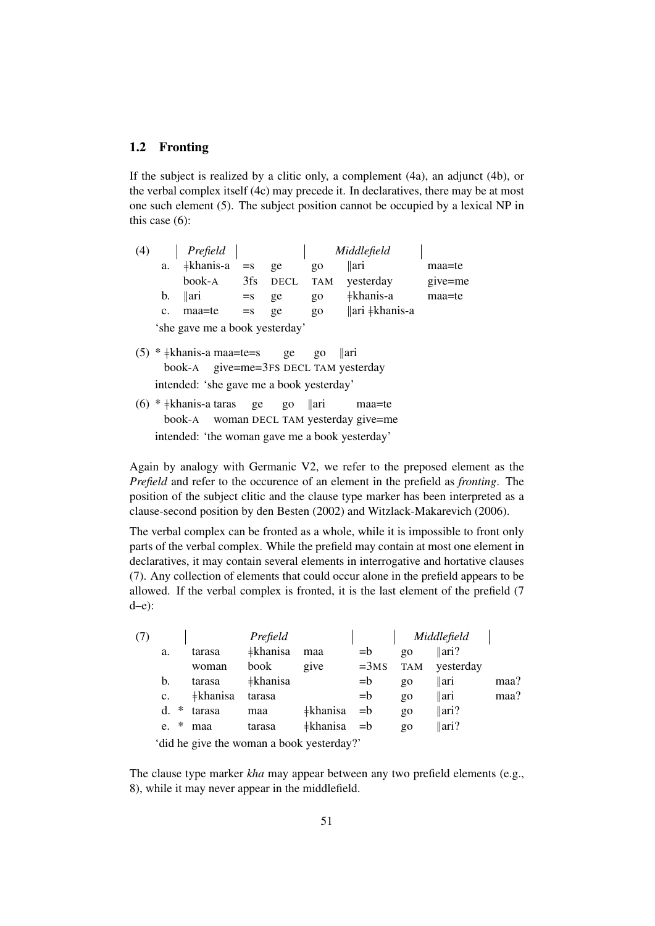#### 1.2 Fronting

If the subject is realized by a clitic only, a complement (4a), an adjunct (4b), or the verbal complex itself (4c) may precede it. In declaratives, there may be at most one such element (5). The subject position cannot be occupied by a lexical NP in this case (6):

| (4)                            |                | Prefield        |       | Middlefield |            |                                   |         |  |  |  |
|--------------------------------|----------------|-----------------|-------|-------------|------------|-----------------------------------|---------|--|--|--|
|                                | a.             | ‡khanis-a       | $=$ s | ge          | go         | llari                             | maa=te  |  |  |  |
|                                |                | book-A          | 3fs   | <b>DECL</b> | <b>TAM</b> | yesterday                         | give=me |  |  |  |
|                                | b.             | $\parallel$ ari | $=$ s | ge          | go         | ‡khanis-a                         | maa=te  |  |  |  |
|                                | $\mathbf{c}$ . | maa=te          | $=$ s | ge          | go         | $\ \text{ari} \ddagger\$ khanis-a |         |  |  |  |
| 'she gave me a book yesterday' |                |                 |       |             |            |                                   |         |  |  |  |

- $(5)$  \*  $\neq$ khanis-a maa=te=s book-A give=me=3FS DECL TAM yesterday ge go {ari intended: 'she gave me a book yesterday'
- (6) \* ‡khanis-a taras book-A woman DECL TAM yesterday give=me ge go {ari maa=te intended: 'the woman gave me a book yesterday'

Again by analogy with Germanic V2, we refer to the preposed element as the *Prefield* and refer to the occurence of an element in the prefield as *fronting*. The position of the subject clitic and the clause type marker has been interpreted as a clause-second position by den Besten (2002) and Witzlack-Makarevich (2006).

The verbal complex can be fronted as a whole, while it is impossible to front only parts of the verbal complex. While the prefield may contain at most one element in declaratives, it may contain several elements in interrogative and hortative clauses (7). Any collection of elements that could occur alone in the prefield appears to be allowed. If the verbal complex is fronted, it is the last element of the prefield (7 d–e):

| (7) |                |                 | Prefield        |          |        | Middlefield     |                  |      |
|-----|----------------|-----------------|-----------------|----------|--------|-----------------|------------------|------|
|     | a.             | tarasa          | ‡khanisa        | maa      | $= b$  | $\overline{Q}O$ | $\parallel$ ari? |      |
|     |                | woman           | book            | give     | $=3MS$ | TAM             | yesterday        |      |
|     | b.             | tarasa          | <b>‡khanisa</b> |          | $= b$  | $\overline{Q}O$ | $\parallel$ ari  | maa? |
|     | $\mathbf{c}$ . | <b>‡khanisa</b> | tarasa          |          | $= b$  | $g_0$           | $\parallel$ ari  | maa? |
|     | ∗<br>d.        | tarasa          | maa             | ‡khanisa | $= b$  | $\overline{Q}O$ | $\parallel$ ari? |      |
|     | ∗<br>e.        | maa             | tarasa          | ‡khanisa | $=$ b  | $\overline{Q}O$ | $\parallel$ ari? |      |
|     |                |                 |                 |          |        |                 |                  |      |

'did he give the woman a book yesterday?'

The clause type marker *kha* may appear between any two prefield elements (e.g., 8), while it may never appear in the middlefield.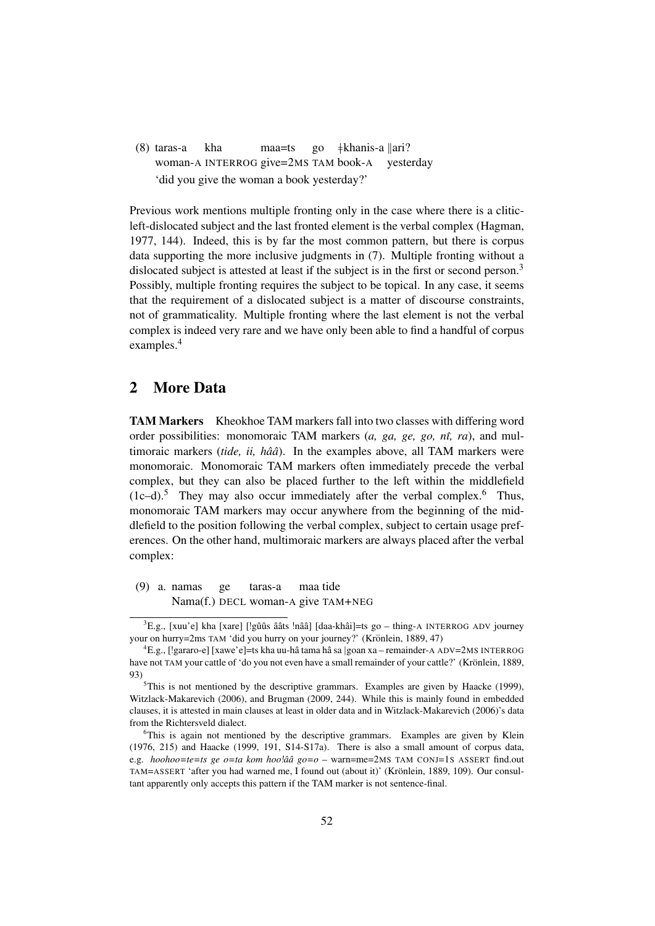(8) taras-a woman-A INTERROG give=2MS TAM book-A kha maa=ts go }khanis-a {ari? yesterday 'did you give the woman a book yesterday?'

Previous work mentions multiple fronting only in the case where there is a cliticleft-dislocated subject and the last fronted element is the verbal complex (Hagman, 1977, 144). Indeed, this is by far the most common pattern, but there is corpus data supporting the more inclusive judgments in (7). Multiple fronting without a dislocated subject is attested at least if the subject is in the first or second person.<sup>3</sup> Possibly, multiple fronting requires the subject to be topical. In any case, it seems that the requirement of a dislocated subject is a matter of discourse constraints, not of grammaticality. Multiple fronting where the last element is not the verbal complex is indeed very rare and we have only been able to find a handful of corpus examples.<sup>4</sup>

## 2 More Data

TAM Markers Kheokhoe TAM markers fall into two classes with differing word order possibilities: monomoraic TAM markers (*a, ga, ge, go, nˆı, ra*), and multimoraic markers (*tide, ii, hââ*). In the examples above, all TAM markers were monomoraic. Monomoraic TAM markers often immediately precede the verbal complex, but they can also be placed further to the left within the middlefield  $(1c-d).$ <sup>5</sup> They may also occur immediately after the verbal complex.<sup>6</sup> Thus, monomoraic TAM markers may occur anywhere from the beginning of the middlefield to the position following the verbal complex, subject to certain usage preferences. On the other hand, multimoraic markers are always placed after the verbal complex:

(9) a. namas Nama(f.) DECL woman-A give TAM+NEG ge taras-a maa tide

 ${}^{3}E.g.,$  [xuu'e] kha [xare] [!gûûs ââts !nââ] [daa-khâi]=ts go – thing-A INTERROG ADV journey your on hurry=2ms TAM 'did you hurry on your journey?' (Krönlein, 1889, 47)

<sup>&</sup>lt;sup>4</sup>E.g., [!gararo-e] [xawe'e]=ts kha uu-hâ tama hâ sa |goan xa – remainder-A ADV=2MS INTERROG have not TAM your cattle of 'do you not even have a small remainder of your cattle?' (Krönlein, 1889, 93)

 $5$ This is not mentioned by the descriptive grammars. Examples are given by Haacke (1999), Witzlack-Makarevich (2006), and Brugman (2009, 244). While this is mainly found in embedded clauses, it is attested in main clauses at least in older data and in Witzlack-Makarevich (2006)'s data from the Richtersveld dialect.

<sup>&</sup>lt;sup>6</sup>This is again not mentioned by the descriptive grammars. Examples are given by Klein (1976, 215) and Haacke (1999, 191, S14-S17a). There is also a small amount of corpus data, e.g. *hoohoo=te=ts ge o=ta kom hoo*!*aˆa go=o ˆ* – warn=me=2MS TAM CONJ=1S ASSERT find.out TAM=ASSERT 'after you had warned me, I found out (about it)' (Krönlein, 1889, 109). Our consultant apparently only accepts this pattern if the TAM marker is not sentence-final.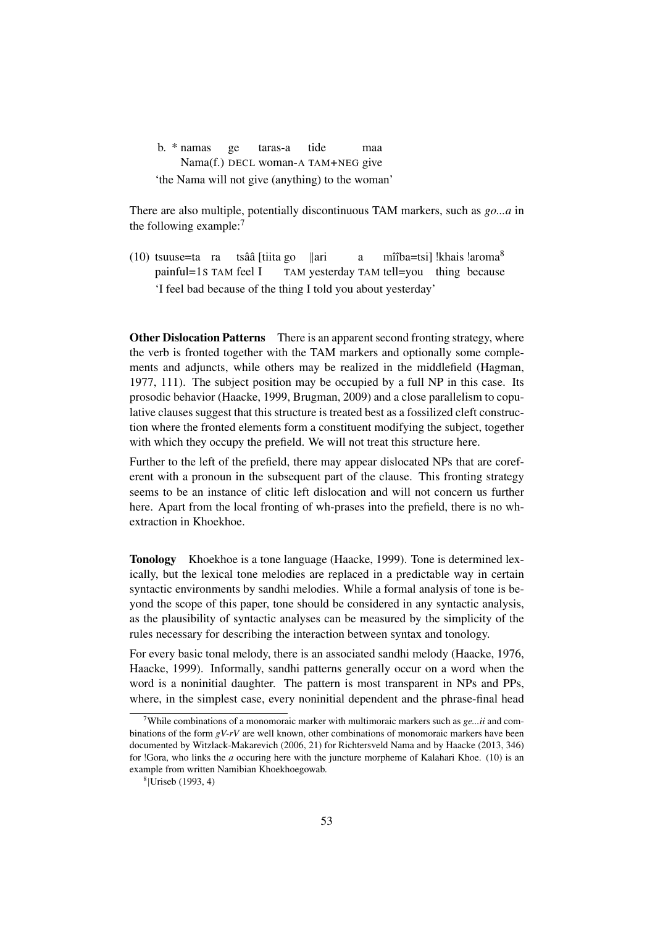b. \* namas Nama(f.) DECL woman-A TAM+NEG give ge taras-a tide maa 'the Nama will not give (anything) to the woman'

There are also multiple, potentially discontinuous TAM markers, such as *go...a* in the following example:<sup>7</sup>

(10) tsuuse=ta ra tsââ [tiita go painful=1S TAM feel I TAM yesterday TAM tell=you thing because  $\|$ ari a mîîba=tsi] !khais !aroma<sup>8</sup> 'I feel bad because of the thing I told you about yesterday'

**Other Dislocation Patterns** There is an apparent second fronting strategy, where the verb is fronted together with the TAM markers and optionally some complements and adjuncts, while others may be realized in the middlefield (Hagman, 1977, 111). The subject position may be occupied by a full NP in this case. Its prosodic behavior (Haacke, 1999, Brugman, 2009) and a close parallelism to copulative clauses suggest that this structure is treated best as a fossilized cleft construction where the fronted elements form a constituent modifying the subject, together with which they occupy the prefield. We will not treat this structure here.

Further to the left of the prefield, there may appear dislocated NPs that are coreferent with a pronoun in the subsequent part of the clause. This fronting strategy seems to be an instance of clitic left dislocation and will not concern us further here. Apart from the local fronting of wh-prases into the prefield, there is no whextraction in Khoekhoe.

Tonology Khoekhoe is a tone language (Haacke, 1999). Tone is determined lexically, but the lexical tone melodies are replaced in a predictable way in certain syntactic environments by sandhi melodies. While a formal analysis of tone is beyond the scope of this paper, tone should be considered in any syntactic analysis, as the plausibility of syntactic analyses can be measured by the simplicity of the rules necessary for describing the interaction between syntax and tonology.

For every basic tonal melody, there is an associated sandhi melody (Haacke, 1976, Haacke, 1999). Informally, sandhi patterns generally occur on a word when the word is a noninitial daughter. The pattern is most transparent in NPs and PPs, where, in the simplest case, every noninitial dependent and the phrase-final head

<sup>&</sup>lt;sup>7</sup>While combinations of a monomoraic marker with multimoraic markers such as  $ge...ii$  and combinations of the form *gV-rV* are well known, other combinations of monomoraic markers have been documented by Witzlack-Makarevich (2006, 21) for Richtersveld Nama and by Haacke (2013, 346) for !Gora, who links the *a* occuring here with the juncture morpheme of Kalahari Khoe. (10) is an example from written Namibian Khoekhoegowab.

<sup>8</sup> |Uriseb (1993, 4)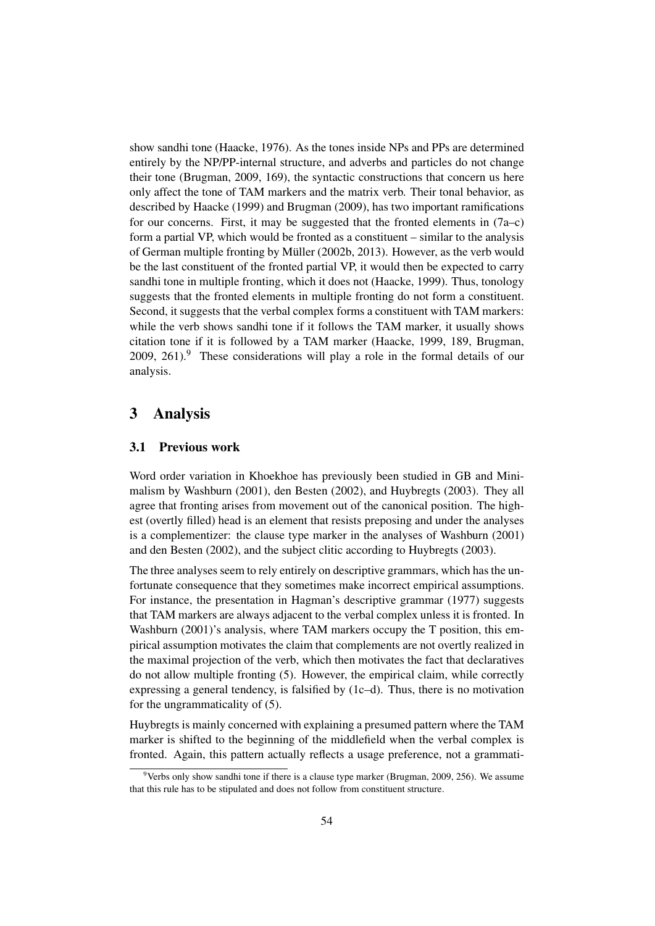show sandhi tone (Haacke, 1976). As the tones inside NPs and PPs are determined entirely by the NP/PP-internal structure, and adverbs and particles do not change their tone (Brugman, 2009, 169), the syntactic constructions that concern us here only affect the tone of TAM markers and the matrix verb. Their tonal behavior, as described by Haacke (1999) and Brugman (2009), has two important ramifications for our concerns. First, it may be suggested that the fronted elements in  $(7a-c)$ form a partial VP, which would be fronted as a constituent – similar to the analysis of German multiple fronting by Müller (2002b, 2013). However, as the verb would be the last constituent of the fronted partial VP, it would then be expected to carry sandhi tone in multiple fronting, which it does not (Haacke, 1999). Thus, tonology suggests that the fronted elements in multiple fronting do not form a constituent. Second, it suggests that the verbal complex forms a constituent with TAM markers: while the verb shows sandhi tone if it follows the TAM marker, it usually shows citation tone if it is followed by a TAM marker (Haacke, 1999, 189, Brugman, 2009, 261).<sup>9</sup> These considerations will play a role in the formal details of our analysis.

## 3 Analysis

#### 3.1 Previous work

Word order variation in Khoekhoe has previously been studied in GB and Minimalism by Washburn (2001), den Besten (2002), and Huybregts (2003). They all agree that fronting arises from movement out of the canonical position. The highest (overtly filled) head is an element that resists preposing and under the analyses is a complementizer: the clause type marker in the analyses of Washburn (2001) and den Besten (2002), and the subject clitic according to Huybregts (2003).

The three analyses seem to rely entirely on descriptive grammars, which has the unfortunate consequence that they sometimes make incorrect empirical assumptions. For instance, the presentation in Hagman's descriptive grammar (1977) suggests that TAM markers are always adjacent to the verbal complex unless it is fronted. In Washburn (2001)'s analysis, where TAM markers occupy the T position, this empirical assumption motivates the claim that complements are not overtly realized in the maximal projection of the verb, which then motivates the fact that declaratives do not allow multiple fronting (5). However, the empirical claim, while correctly expressing a general tendency, is falsified by (1c–d). Thus, there is no motivation for the ungrammaticality of (5).

Huybregts is mainly concerned with explaining a presumed pattern where the TAM marker is shifted to the beginning of the middlefield when the verbal complex is fronted. Again, this pattern actually reflects a usage preference, not a grammati-

<sup>&</sup>lt;sup>9</sup>Verbs only show sandhi tone if there is a clause type marker (Brugman, 2009, 256). We assume that this rule has to be stipulated and does not follow from constituent structure.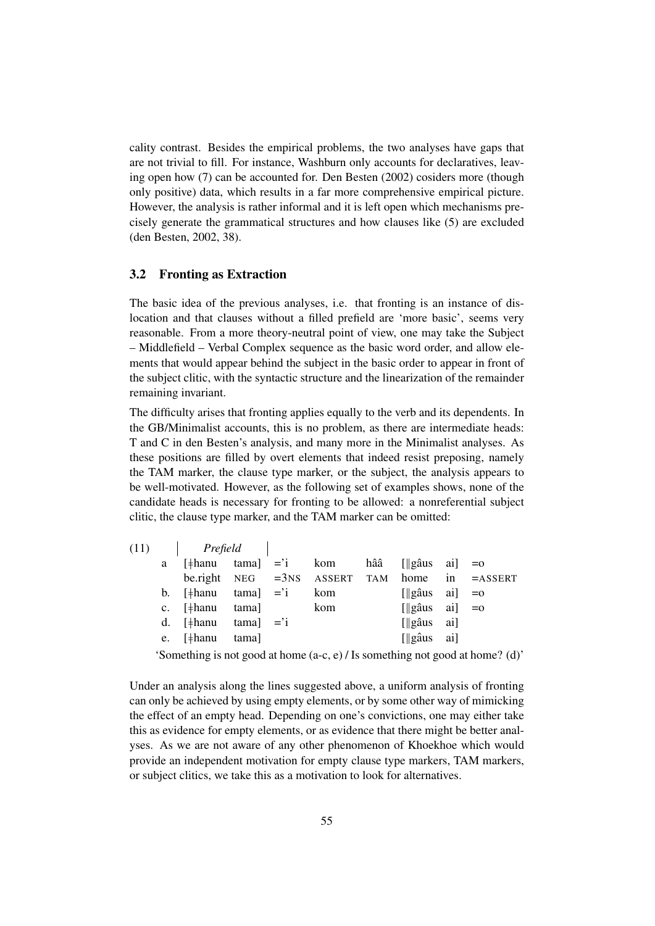cality contrast. Besides the empirical problems, the two analyses have gaps that are not trivial to fill. For instance, Washburn only accounts for declaratives, leaving open how (7) can be accounted for. Den Besten (2002) cosiders more (though only positive) data, which results in a far more comprehensive empirical picture. However, the analysis is rather informal and it is left open which mechanisms precisely generate the grammatical structures and how clauses like (5) are excluded (den Besten, 2002, 38).

#### 3.2 Fronting as Extraction

The basic idea of the previous analyses, i.e. that fronting is an instance of dislocation and that clauses without a filled prefield are 'more basic', seems very reasonable. From a more theory-neutral point of view, one may take the Subject – Middlefield – Verbal Complex sequence as the basic word order, and allow elements that would appear behind the subject in the basic order to appear in front of the subject clitic, with the syntactic structure and the linearization of the remainder remaining invariant.

The difficulty arises that fronting applies equally to the verb and its dependents. In the GB/Minimalist accounts, this is no problem, as there are intermediate heads: T and C in den Besten's analysis, and many more in the Minimalist analyses. As these positions are filled by overt elements that indeed resist preposing, namely the TAM marker, the clause type marker, or the subject, the analysis appears to be well-motivated. However, as the following set of examples shows, none of the candidate heads is necessary for fronting to be allowed: a nonreferential subject clitic, the clause type marker, and the TAM marker can be omitted:

| (11) | Prefield                               |              |     |     |                                       |                                                   |
|------|----------------------------------------|--------------|-----|-----|---------------------------------------|---------------------------------------------------|
|      | a $[\frac{1}{2}$ hanu tama $] = i$ kom |              |     | hââ | $\left[\right]$ gâus ai $\right] = 0$ |                                                   |
|      |                                        |              |     |     |                                       | be.right $NEG = 3NS$ ASSERT TAM home in $=ASSENT$ |
|      | b. $[\frac{1}{2}$ hanu                 | $tama$ = $i$ | kom |     | $\left[\right $ gâus ai $\right $ =0  |                                                   |
|      | c. $[\frac{1}{2}$ hanu tama            |              | kom |     | $\left[\right $ gâus ai $\right $ =0  |                                                   |
|      | d. $[\frac{1}{2}$ hanu                 | $tama$ = $i$ |     |     | $\left[\right]$ gâus ai               |                                                   |
|      | e. [#hanu                              | tama]        |     |     | $\left[\right]$ gâus ai               |                                                   |
|      |                                        |              |     |     |                                       |                                                   |

'Something is not good at home (a-c, e) / Is something not good at home? (d)'

Under an analysis along the lines suggested above, a uniform analysis of fronting can only be achieved by using empty elements, or by some other way of mimicking the effect of an empty head. Depending on one's convictions, one may either take this as evidence for empty elements, or as evidence that there might be better analyses. As we are not aware of any other phenomenon of Khoekhoe which would provide an independent motivation for empty clause type markers, TAM markers, or subject clitics, we take this as a motivation to look for alternatives.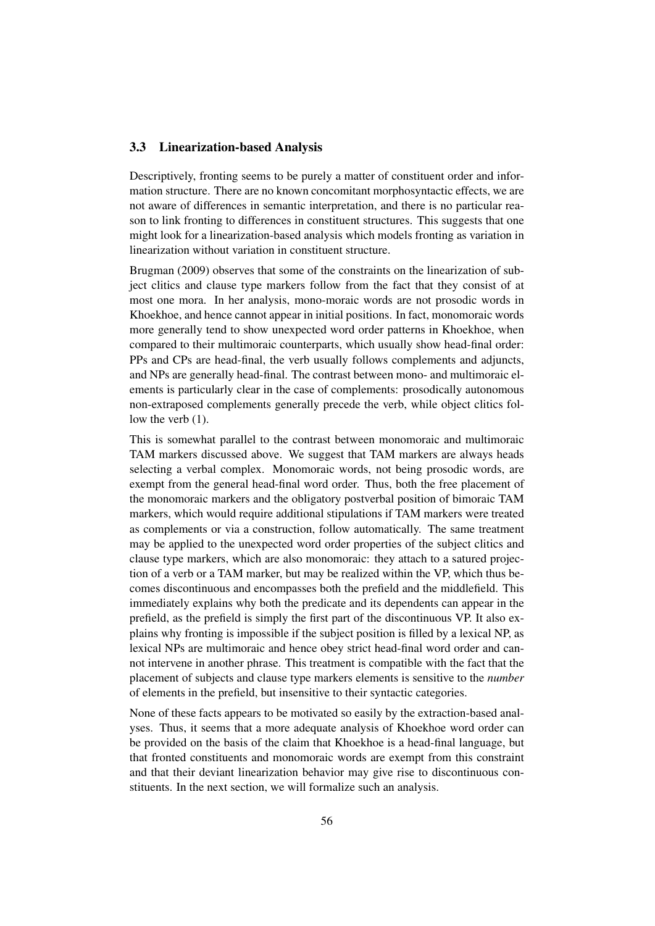#### 3.3 Linearization-based Analysis

Descriptively, fronting seems to be purely a matter of constituent order and information structure. There are no known concomitant morphosyntactic effects, we are not aware of differences in semantic interpretation, and there is no particular reason to link fronting to differences in constituent structures. This suggests that one might look for a linearization-based analysis which models fronting as variation in linearization without variation in constituent structure.

Brugman (2009) observes that some of the constraints on the linearization of subject clitics and clause type markers follow from the fact that they consist of at most one mora. In her analysis, mono-moraic words are not prosodic words in Khoekhoe, and hence cannot appear in initial positions. In fact, monomoraic words more generally tend to show unexpected word order patterns in Khoekhoe, when compared to their multimoraic counterparts, which usually show head-final order: PPs and CPs are head-final, the verb usually follows complements and adjuncts, and NPs are generally head-final. The contrast between mono- and multimoraic elements is particularly clear in the case of complements: prosodically autonomous non-extraposed complements generally precede the verb, while object clitics follow the verb  $(1)$ .

This is somewhat parallel to the contrast between monomoraic and multimoraic TAM markers discussed above. We suggest that TAM markers are always heads selecting a verbal complex. Monomoraic words, not being prosodic words, are exempt from the general head-final word order. Thus, both the free placement of the monomoraic markers and the obligatory postverbal position of bimoraic TAM markers, which would require additional stipulations if TAM markers were treated as complements or via a construction, follow automatically. The same treatment may be applied to the unexpected word order properties of the subject clitics and clause type markers, which are also monomoraic: they attach to a satured projection of a verb or a TAM marker, but may be realized within the VP, which thus becomes discontinuous and encompasses both the prefield and the middlefield. This immediately explains why both the predicate and its dependents can appear in the prefield, as the prefield is simply the first part of the discontinuous VP. It also explains why fronting is impossible if the subject position is filled by a lexical NP, as lexical NPs are multimoraic and hence obey strict head-final word order and cannot intervene in another phrase. This treatment is compatible with the fact that the placement of subjects and clause type markers elements is sensitive to the *number* of elements in the prefield, but insensitive to their syntactic categories.

None of these facts appears to be motivated so easily by the extraction-based analyses. Thus, it seems that a more adequate analysis of Khoekhoe word order can be provided on the basis of the claim that Khoekhoe is a head-final language, but that fronted constituents and monomoraic words are exempt from this constraint and that their deviant linearization behavior may give rise to discontinuous constituents. In the next section, we will formalize such an analysis.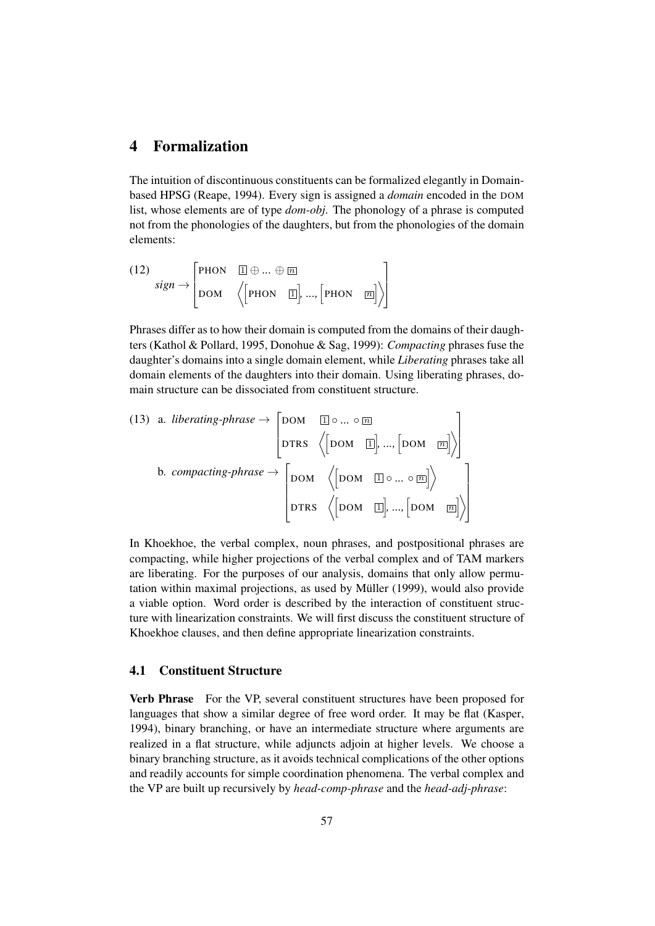## 4 Formalization

The intuition of discontinuous constituents can be formalized elegantly in Domainbased HPSG (Reape, 1994). Every sign is assigned a *domain* encoded in the DOM list, whose elements are of type *dom-obj*. The phonology of a phrase is computed not from the phonologies of the daughters, but from the phonologies of the domain elements:

(12)  
\n
$$
sign \rightarrow \begin{bmatrix} \text{PHON} & \boxed{\perp} \oplus ... \oplus \boxed{\square} \\ \text{DOM} & \left( \begin{bmatrix} \text{PHON} & \boxed{\perp} \end{bmatrix} ... , \begin{bmatrix} \text{PHON} & \boxed{\square} \end{bmatrix} \right) \end{bmatrix}
$$

Phrases differ as to how their domain is computed from the domains of their daughters (Kathol & Pollard, 1995, Donohue & Sag, 1999): *Compacting* phrases fuse the daughter's domains into a single domain element, while *Liberating* phrases take all domain elements of the daughters into their domain. Using liberating phrases, domain structure can be dissociated from constituent structure.

(13) a. *liberating-phrase* 
$$
\rightarrow
$$
  $\begin{bmatrix} DOM & \boxed{\mathbb{I}} \circ ... \circ \boxed{\mathbb{m}} \\ \text{DTRS} & \left\langle \begin{bmatrix}DOM & \boxed{\mathbb{I}} \end{bmatrix}, ..., \begin{bmatrix}DOM & \boxed{\mathbb{m}} \end{bmatrix} \right\rangle \end{bmatrix}$   
b. *compacting-phrase*  $\rightarrow$   $\begin{bmatrix}DOM & \boxed{\mathbb{I}} \circ ... \circ \boxed{\mathbb{m}} \end{bmatrix}$   $\begin{bmatrix}DOM & \boxed{\mathbb{I}} \circ ... \circ \boxed{\mathbb{m}} \end{bmatrix}$   $\begin{bmatrix}DTRS & \left\langle \begin{bmatrix}DOM & \boxed{\mathbb{I}} \end{bmatrix}, ..., \begin{bmatrix}DOM & \boxed{\mathbb{m}} \end{bmatrix} \right\rangle \end{bmatrix}$ 

In Khoekhoe, the verbal complex, noun phrases, and postpositional phrases are compacting, while higher projections of the verbal complex and of TAM markers are liberating. For the purposes of our analysis, domains that only allow permutation within maximal projections, as used by Müller (1999), would also provide a viable option. Word order is described by the interaction of constituent structure with linearization constraints. We will first discuss the constituent structure of Khoekhoe clauses, and then define appropriate linearization constraints.

#### 4.1 Constituent Structure

Verb Phrase For the VP, several constituent structures have been proposed for languages that show a similar degree of free word order. It may be flat (Kasper, 1994), binary branching, or have an intermediate structure where arguments are realized in a flat structure, while adjuncts adjoin at higher levels. We choose a binary branching structure, as it avoids technical complications of the other options and readily accounts for simple coordination phenomena. The verbal complex and the VP are built up recursively by *head-comp-phrase* and the *head-adj-phrase*: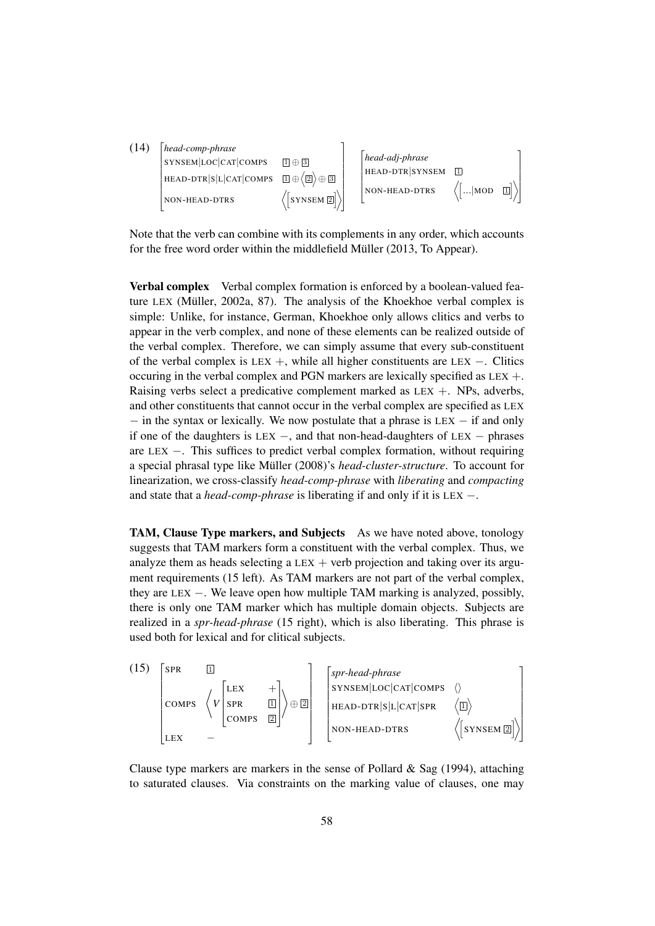| (14) | head-comp-phrase     |                         |                 |                            |             |
|------|----------------------|-------------------------|-----------------|----------------------------|-------------|
|      | SYNSEM LOC CAT COMPS | $\Box \oplus \Box$      | head-adj-phrase |                            |             |
|      | HEAD-DTR SLCATCOMPS  | $1 \oplus (2) \oplus 3$ | HEAD-DTR SYNSEM | $\overline{1}$             |             |
|      | NON-HEAD-DTRS        | $\sqrt{2}$ SYNSEM 2     | NON-HEAD-DTRS   | $\left  \dots \right $ MOD | $\boxed{1}$ |

Note that the verb can combine with its complements in any order, which accounts for the free word order within the middlefield Müller (2013, To Appear).

Verbal complex Verbal complex formation is enforced by a boolean-valued feature LEX (Müller, 2002a, 87). The analysis of the Khoekhoe verbal complex is simple: Unlike, for instance, German, Khoekhoe only allows clitics and verbs to appear in the verb complex, and none of these elements can be realized outside of the verbal complex. Therefore, we can simply assume that every sub-constituent of the verbal complex is LEX +, while all higher constituents are LEX  $-$ . Clitics occuring in the verbal complex and PGN markers are lexically specified as LEX +. Raising verbs select a predicative complement marked as  $LEX +$ . NPs, adverbs, and other constituents that cannot occur in the verbal complex are specified as LEX − in the syntax or lexically. We now postulate that a phrase is LEX − if and only if one of the daughters is LEX  $-$ , and that non-head-daughters of LEX  $-$  phrases are LEX −. This suffices to predict verbal complex formation, without requiring a special phrasal type like Müller (2008)'s *head-cluster-structure*. To account for linearization, we cross-classify *head-comp-phrase* with *liberating* and *compacting* and state that a *head-comp-phrase* is liberating if and only if it is LEX −.

TAM, Clause Type markers, and Subjects As we have noted above, tonology suggests that TAM markers form a constituent with the verbal complex. Thus, we analyze them as heads selecting a  $LEX$  + verb projection and taking over its argument requirements (15 left). As TAM markers are not part of the verbal complex, they are LEX −. We leave open how multiple TAM marking is analyzed, possibly, there is only one TAM marker which has multiple domain objects. Subjects are realized in a *spr-head-phrase* (15 right), which is also liberating. This phrase is used both for lexical and for clitical subjects.

(15) 
$$
\begin{bmatrix} \text{SPR} & \boxed{1} \\ \text{COMPS} & \left\langle V \begin{bmatrix} \text{LEX} & + \\ \text{SPR} & \boxed{1} \\ \text{COMPS} & \boxed{2} \end{bmatrix} \right\rangle \oplus \boxed{2} \\ \begin{bmatrix} \text{Spr-head-phrase} \\ \text{SYNSEM} \mid \text{LOC} \mid \text{CAT} \mid \text{COMPS} \end{bmatrix} \\ \text{HEAD-DR} \mid \text{SL} \mid \text{CAT} \mid \text{SPR} \end{bmatrix} \times \begin{bmatrix} \text{SPR} & \boxed{1} \\ \text{HEAD-DR} \mid \text{SL} \mid \text{CAT} \mid \text{SPR} \end{bmatrix} \times \begin{bmatrix} \text{SNNSEM} \mid \text{LC} \mid \text{CMPS} \end{bmatrix}
$$

Clause type markers are markers in the sense of Pollard & Sag  $(1994)$ , attaching to saturated clauses. Via constraints on the marking value of clauses, one may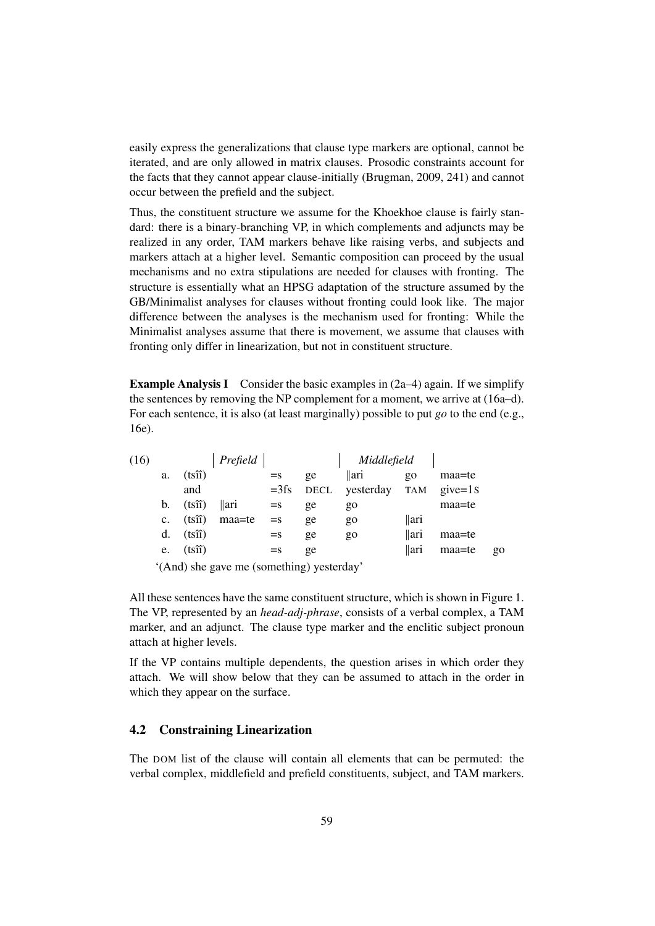easily express the generalizations that clause type markers are optional, cannot be iterated, and are only allowed in matrix clauses. Prosodic constraints account for the facts that they cannot appear clause-initially (Brugman, 2009, 241) and cannot occur between the prefield and the subject.

Thus, the constituent structure we assume for the Khoekhoe clause is fairly standard: there is a binary-branching VP, in which complements and adjuncts may be realized in any order, TAM markers behave like raising verbs, and subjects and markers attach at a higher level. Semantic composition can proceed by the usual mechanisms and no extra stipulations are needed for clauses with fronting. The structure is essentially what an HPSG adaptation of the structure assumed by the GB/Minimalist analyses for clauses without fronting could look like. The major difference between the analyses is the mechanism used for fronting: While the Minimalist analyses assume that there is movement, we assume that clauses with fronting only differ in linearization, but not in constituent structure.

**Example Analysis I** Consider the basic examples in  $(2a-4)$  again. If we simplify the sentences by removing the NP complement for a moment, we arrive at (16a–d). For each sentence, it is also (at least marginally) possible to put *go* to the end (e.g., 16e).

| (16) |                |                 | Prefield |        |    | Middlefield                |                |        |       |
|------|----------------|-----------------|----------|--------|----|----------------------------|----------------|--------|-------|
|      | a.             | $(ts\hat{i})$   |          | $=$ s  | ge | $\parallel$ ari            | $\overline{Q}$ | maa=te |       |
|      |                | and             |          | $=3fs$ |    | DECL yesterday TAM give=1s |                |        |       |
|      | $\mathbf{b}$ . | $(ts\hat{i})$   | llari    | $=$ s  | ge | $g_0$                      |                | maa=te |       |
|      | $c_{\cdot}$    | $(ts\hat{i})$   | maa=te   | $=$ s  | ge | $g_0$                      | ari            |        |       |
|      | d.             | $(t\hat{\sin})$ |          | $=$ s  | ge | $g_0$                      | llari          | maa=te |       |
|      | e.             | $(ts\hat{i})$   |          | $=$ s  | ge |                            | llari          | maa=te | $g_0$ |

'(And) she gave me (something) yesterday'

All these sentences have the same constituent structure, which is shown in Figure 1. The VP, represented by an *head-adj-phrase*, consists of a verbal complex, a TAM marker, and an adjunct. The clause type marker and the enclitic subject pronoun attach at higher levels.

If the VP contains multiple dependents, the question arises in which order they attach. We will show below that they can be assumed to attach in the order in which they appear on the surface.

## 4.2 Constraining Linearization

The DOM list of the clause will contain all elements that can be permuted: the verbal complex, middlefield and prefield constituents, subject, and TAM markers.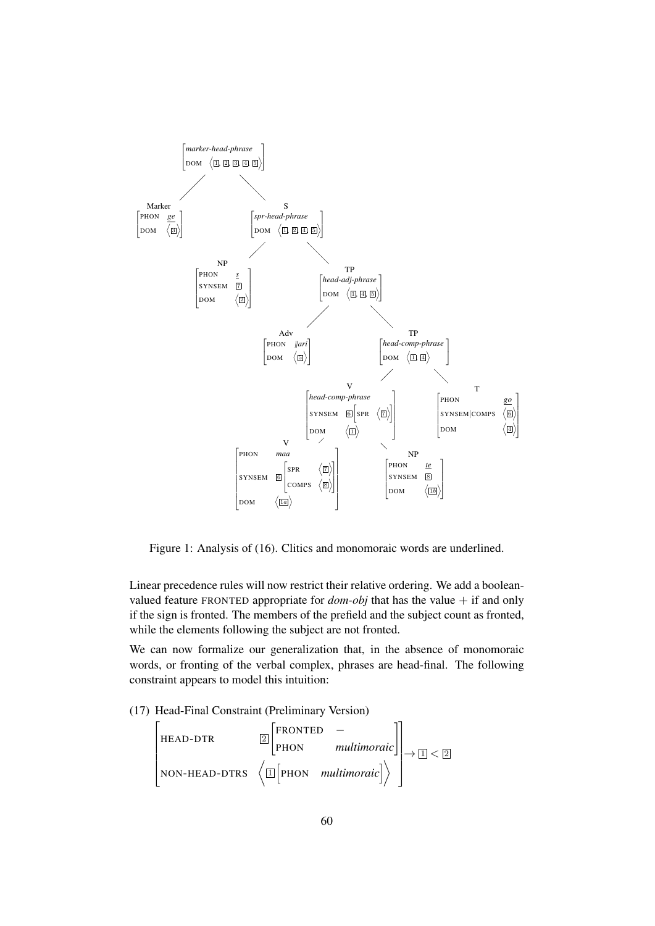

Figure 1: Analysis of (16). Clitics and monomoraic words are underlined.

Linear precedence rules will now restrict their relative ordering. We add a booleanvalued feature FRONTED appropriate for  $dom-obj$  that has the value  $+$  if and only if the sign is fronted. The members of the prefield and the subject count as fronted, while the elements following the subject are not fronted.

We can now formalize our generalization that, in the absence of monomoraic words, or fronting of the verbal complex, phrases are head-final. The following constraint appears to model this intuition:

(17) Head-Final Constraint (Preliminary Version)

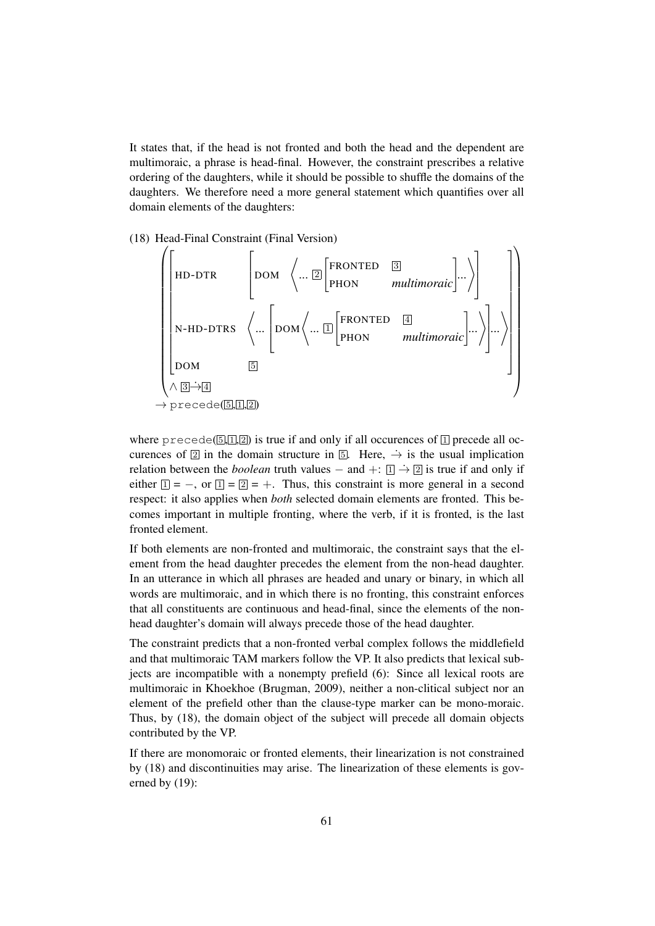It states that, if the head is not fronted and both the head and the dependent are multimoraic, a phrase is head-final. However, the constraint prescribes a relative ordering of the daughters, while it should be possible to shuffle the domains of the daughters. We therefore need a more general statement which quantifies over all domain elements of the daughters:

(18) Head-Final Constraint (Final Version)

$$
\left(\begin{bmatrix} \text{HD-DTR} & \begin{bmatrix} \text{DOM} & \begin{bmatrix} ... & \boxed{2} \end{bmatrix} \begin{bmatrix} \text{FRONTED} & \boxed{3} \\ \text{PhON} & multimoraic \end{bmatrix} ... \end{bmatrix} \\ \begin{bmatrix} \text{N-HD-DTRS} & \begin{bmatrix} ... & \begin{bmatrix} ... & \boxed{DOM} \end{bmatrix} \end{bmatrix} \\ \begin{bmatrix} \text{DOM} & \boxed{5} \\ \text{DOM} & \boxed{5} \end{bmatrix} \\ \begin{bmatrix} \text{NDM} & \boxed{5} \\ \text{PFCede}(\boxed{5},\boxed{1},\boxed{2}) \end{bmatrix} \end{bmatrix} \right)
$$

where precede( $\boxed{5}$ ,  $\boxed{1}$ ,  $\boxed{2}$ ) is true if and only if all occurences of  $\boxed{1}$  precede all occurences of  $\boxed{2}$  in the domain structure in  $\boxed{5}$ . Here,  $\rightarrow$  is the usual implication relation between the *boolean* truth values – and +:  $\boxed{1} \rightarrow \boxed{2}$  is true if and only if either  $1 = -$ , or  $1 = 2 = +$ . Thus, this constraint is more general in a second respect: it also applies when *both* selected domain elements are fronted. This becomes important in multiple fronting, where the verb, if it is fronted, is the last fronted element.

If both elements are non-fronted and multimoraic, the constraint says that the element from the head daughter precedes the element from the non-head daughter. In an utterance in which all phrases are headed and unary or binary, in which all words are multimoraic, and in which there is no fronting, this constraint enforces that all constituents are continuous and head-final, since the elements of the nonhead daughter's domain will always precede those of the head daughter.

The constraint predicts that a non-fronted verbal complex follows the middlefield and that multimoraic TAM markers follow the VP. It also predicts that lexical subjects are incompatible with a nonempty prefield (6): Since all lexical roots are multimoraic in Khoekhoe (Brugman, 2009), neither a non-clitical subject nor an element of the prefield other than the clause-type marker can be mono-moraic. Thus, by (18), the domain object of the subject will precede all domain objects contributed by the VP.

If there are monomoraic or fronted elements, their linearization is not constrained by (18) and discontinuities may arise. The linearization of these elements is governed by (19):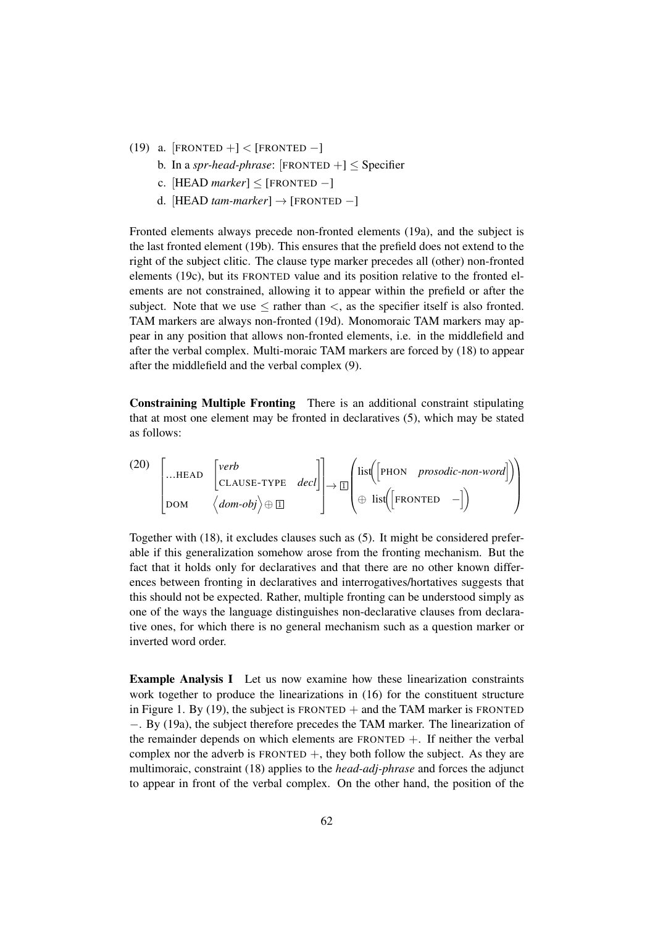- (19) a. [FRONTED +] < [FRONTED -]
	- b. In a *spr-head-phrase*:  $[FRONTED +] \leq$  Specifier
	- c.  $[HEAD$   $market \leq [FROM$  TED  $-]$
	- d. [HEAD *tam-marker*] → [FRONTED −]

Fronted elements always precede non-fronted elements (19a), and the subject is the last fronted element (19b). This ensures that the prefield does not extend to the right of the subject clitic. The clause type marker precedes all (other) non-fronted elements (19c), but its FRONTED value and its position relative to the fronted elements are not constrained, allowing it to appear within the prefield or after the subject. Note that we use  $\leq$  rather than  $\lt$ , as the specifier itself is also fronted. TAM markers are always non-fronted (19d). Monomoraic TAM markers may appear in any position that allows non-fronted elements, i.e. in the middlefield and after the verbal complex. Multi-moraic TAM markers are forced by (18) to appear after the middlefield and the verbal complex (9).

Constraining Multiple Fronting There is an additional constraint stipulating that at most one element may be fronted in declaratives (5), which may be stated as follows:

(20) 
$$
\begin{bmatrix} ... \text{HEAD} & [verb \ \\ cLAUSE-TYPE & decl] \\ \text{DOM} & \langle dom - obj \rangle \oplus \Box \end{bmatrix} \rightarrow \boxed{\Box} \begin{pmatrix} list([PHON \quad \text{prosodic-non-word}]) \\ \oplus list([FRONTED -]) \end{pmatrix}
$$

Together with (18), it excludes clauses such as (5). It might be considered preferable if this generalization somehow arose from the fronting mechanism. But the fact that it holds only for declaratives and that there are no other known differences between fronting in declaratives and interrogatives/hortatives suggests that this should not be expected. Rather, multiple fronting can be understood simply as one of the ways the language distinguishes non-declarative clauses from declarative ones, for which there is no general mechanism such as a question marker or inverted word order.

Example Analysis I Let us now examine how these linearization constraints work together to produce the linearizations in (16) for the constituent structure in Figure 1. By (19), the subject is FRONTED  $+$  and the TAM marker is FRONTED −. By (19a), the subject therefore precedes the TAM marker. The linearization of the remainder depends on which elements are FRONTED  $+$ . If neither the verbal complex nor the adverb is  $FRONTED +$ , they both follow the subject. As they are multimoraic, constraint (18) applies to the *head-adj-phrase* and forces the adjunct to appear in front of the verbal complex. On the other hand, the position of the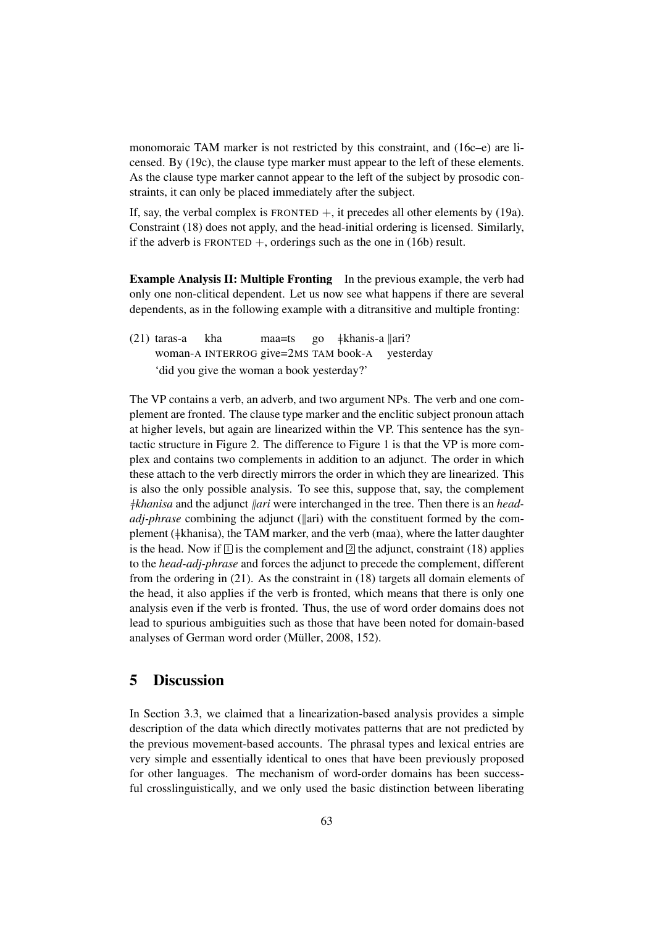monomoraic TAM marker is not restricted by this constraint, and (16c–e) are licensed. By (19c), the clause type marker must appear to the left of these elements. As the clause type marker cannot appear to the left of the subject by prosodic constraints, it can only be placed immediately after the subject.

If, say, the verbal complex is FRONTED  $+$ , it precedes all other elements by (19a). Constraint (18) does not apply, and the head-initial ordering is licensed. Similarly, if the adverb is FRONTED  $+$ , orderings such as the one in (16b) result.

Example Analysis II: Multiple Fronting In the previous example, the verb had only one non-clitical dependent. Let us now see what happens if there are several dependents, as in the following example with a ditransitive and multiple fronting:

(21) taras-a woman-A INTERROG give=2MS TAM book-A kha maa=ts go }khanis-a {ari? yesterday 'did you give the woman a book yesterday?'

The VP contains a verb, an adverb, and two argument NPs. The verb and one complement are fronted. The clause type marker and the enclitic subject pronoun attach at higher levels, but again are linearized within the VP. This sentence has the syntactic structure in Figure 2. The difference to Figure 1 is that the VP is more complex and contains two complements in addition to an adjunct. The order in which these attach to the verb directly mirrors the order in which they are linearized. This is also the only possible analysis. To see this, suppose that, say, the complement }*khanisa* and the adjunct {*ari* were interchanged in the tree. Then there is an *headadj-phrase* combining the adjunct ( $\parallel$ ari) with the constituent formed by the complement ( $\#$ khanisa), the TAM marker, and the verb (maa), where the latter daughter is the head. Now if  $\Box$  is the complement and  $\Box$  the adjunct, constraint (18) applies to the *head-adj-phrase* and forces the adjunct to precede the complement, different from the ordering in (21). As the constraint in (18) targets all domain elements of the head, it also applies if the verb is fronted, which means that there is only one analysis even if the verb is fronted. Thus, the use of word order domains does not lead to spurious ambiguities such as those that have been noted for domain-based analyses of German word order (Müller, 2008, 152).

## 5 Discussion

In Section 3.3, we claimed that a linearization-based analysis provides a simple description of the data which directly motivates patterns that are not predicted by the previous movement-based accounts. The phrasal types and lexical entries are very simple and essentially identical to ones that have been previously proposed for other languages. The mechanism of word-order domains has been successful crosslinguistically, and we only used the basic distinction between liberating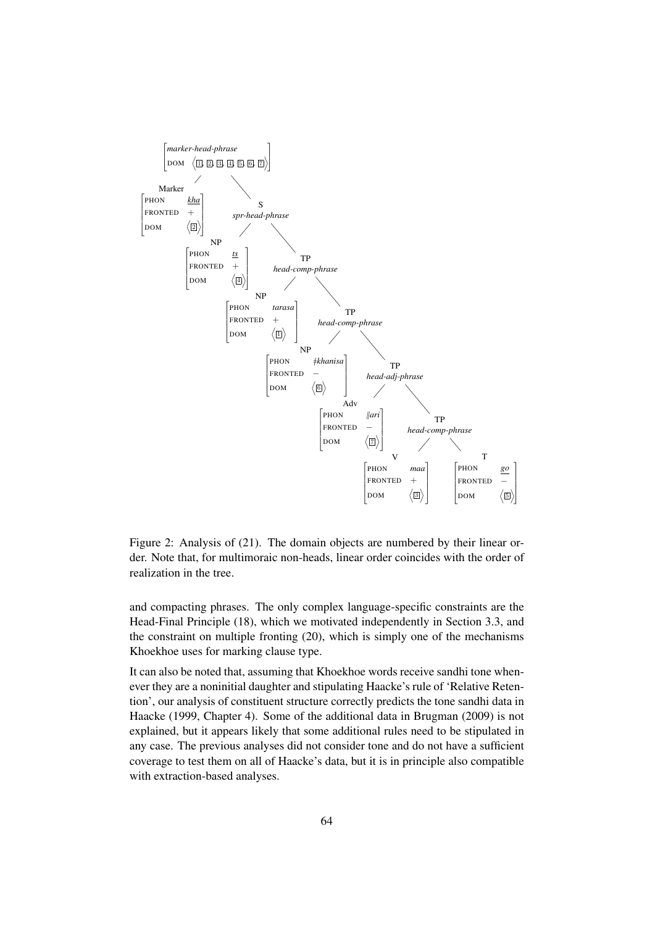

Figure 2: Analysis of (21). The domain objects are numbered by their linear order. Note that, for multimoraic non-heads, linear order coincides with the order of realization in the tree.

and compacting phrases. The only complex language-specific constraints are the Head-Final Principle (18), which we motivated independently in Section 3.3, and the constraint on multiple fronting (20), which is simply one of the mechanisms Khoekhoe uses for marking clause type.

It can also be noted that, assuming that Khoekhoe words receive sandhi tone whenever they are a noninitial daughter and stipulating Haacke's rule of 'Relative Retention', our analysis of constituent structure correctly predicts the tone sandhi data in Haacke (1999, Chapter 4). Some of the additional data in Brugman (2009) is not explained, but it appears likely that some additional rules need to be stipulated in any case. The previous analyses did not consider tone and do not have a sufficient coverage to test them on all of Haacke's data, but it is in principle also compatible with extraction-based analyses.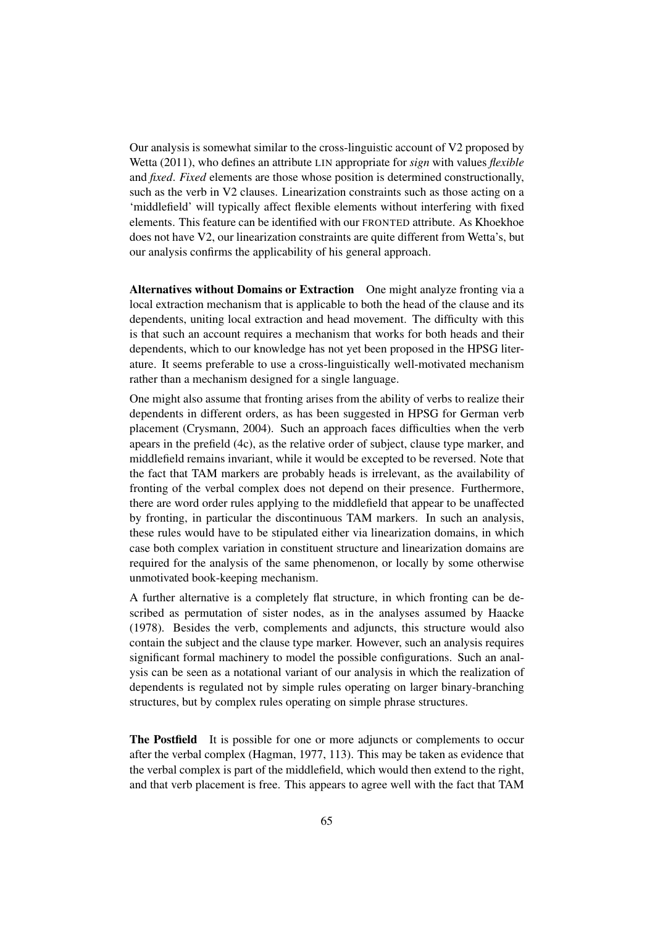Our analysis is somewhat similar to the cross-linguistic account of V2 proposed by Wetta (2011), who defines an attribute LIN appropriate for *sign* with values *flexible* and *fixed*. *Fixed* elements are those whose position is determined constructionally, such as the verb in V2 clauses. Linearization constraints such as those acting on a 'middlefield' will typically affect flexible elements without interfering with fixed elements. This feature can be identified with our FRONTED attribute. As Khoekhoe does not have V2, our linearization constraints are quite different from Wetta's, but our analysis confirms the applicability of his general approach.

Alternatives without Domains or Extraction One might analyze fronting via a local extraction mechanism that is applicable to both the head of the clause and its dependents, uniting local extraction and head movement. The difficulty with this is that such an account requires a mechanism that works for both heads and their dependents, which to our knowledge has not yet been proposed in the HPSG literature. It seems preferable to use a cross-linguistically well-motivated mechanism rather than a mechanism designed for a single language.

One might also assume that fronting arises from the ability of verbs to realize their dependents in different orders, as has been suggested in HPSG for German verb placement (Crysmann, 2004). Such an approach faces difficulties when the verb apears in the prefield (4c), as the relative order of subject, clause type marker, and middlefield remains invariant, while it would be excepted to be reversed. Note that the fact that TAM markers are probably heads is irrelevant, as the availability of fronting of the verbal complex does not depend on their presence. Furthermore, there are word order rules applying to the middlefield that appear to be unaffected by fronting, in particular the discontinuous TAM markers. In such an analysis, these rules would have to be stipulated either via linearization domains, in which case both complex variation in constituent structure and linearization domains are required for the analysis of the same phenomenon, or locally by some otherwise unmotivated book-keeping mechanism.

A further alternative is a completely flat structure, in which fronting can be described as permutation of sister nodes, as in the analyses assumed by Haacke (1978). Besides the verb, complements and adjuncts, this structure would also contain the subject and the clause type marker. However, such an analysis requires significant formal machinery to model the possible configurations. Such an analysis can be seen as a notational variant of our analysis in which the realization of dependents is regulated not by simple rules operating on larger binary-branching structures, but by complex rules operating on simple phrase structures.

The Postfield It is possible for one or more adjuncts or complements to occur after the verbal complex (Hagman, 1977, 113). This may be taken as evidence that the verbal complex is part of the middlefield, which would then extend to the right, and that verb placement is free. This appears to agree well with the fact that TAM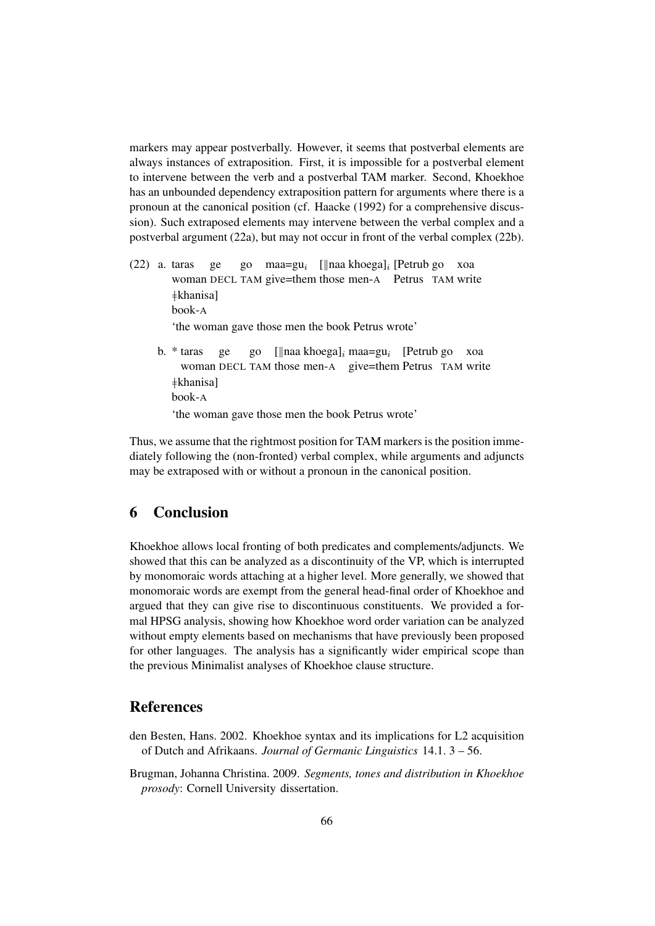markers may appear postverbally. However, it seems that postverbal elements are always instances of extraposition. First, it is impossible for a postverbal element to intervene between the verb and a postverbal TAM marker. Second, Khoekhoe has an unbounded dependency extraposition pattern for arguments where there is a pronoun at the canonical position (cf. Haacke (1992) for a comprehensive discussion). Such extraposed elements may intervene between the verbal complex and a postverbal argument (22a), but may not occur in front of the verbal complex (22b).

- (22) a. taras woman DECL TAM give=them those men-A Petrus TAM write ge go maa=gu<sub>i</sub> [||naa khoega]<sub>i</sub> [Petrub go xoa }khanisa] book-A 'the woman gave those men the book Petrus wrote'
	- b. \* taras woman DECL TAM those men-A give=them Petrus TAM write ge go [||naa khoega]<sub>i</sub> maa=gu<sub>i</sub> [Petrub go xoa  $\pm$ khanisal book-A

'the woman gave those men the book Petrus wrote'

Thus, we assume that the rightmost position for TAM markers is the position immediately following the (non-fronted) verbal complex, while arguments and adjuncts may be extraposed with or without a pronoun in the canonical position.

## 6 Conclusion

Khoekhoe allows local fronting of both predicates and complements/adjuncts. We showed that this can be analyzed as a discontinuity of the VP, which is interrupted by monomoraic words attaching at a higher level. More generally, we showed that monomoraic words are exempt from the general head-final order of Khoekhoe and argued that they can give rise to discontinuous constituents. We provided a formal HPSG analysis, showing how Khoekhoe word order variation can be analyzed without empty elements based on mechanisms that have previously been proposed for other languages. The analysis has a significantly wider empirical scope than the previous Minimalist analyses of Khoekhoe clause structure.

## References

- den Besten, Hans. 2002. Khoekhoe syntax and its implications for L2 acquisition of Dutch and Afrikaans. *Journal of Germanic Linguistics* 14.1. 3 – 56.
- Brugman, Johanna Christina. 2009. *Segments, tones and distribution in Khoekhoe prosody*: Cornell University dissertation.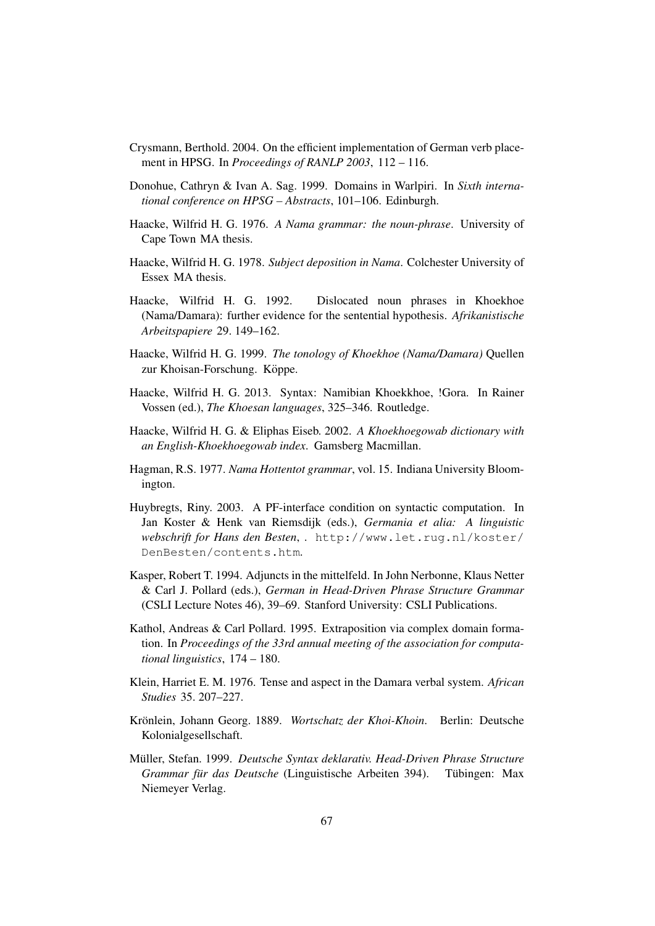- Crysmann, Berthold. 2004. On the efficient implementation of German verb placement in HPSG. In *Proceedings of RANLP 2003*, 112 – 116.
- Donohue, Cathryn & Ivan A. Sag. 1999. Domains in Warlpiri. In *Sixth international conference on HPSG – Abstracts*, 101–106. Edinburgh.
- Haacke, Wilfrid H. G. 1976. *A Nama grammar: the noun-phrase*. University of Cape Town MA thesis.
- Haacke, Wilfrid H. G. 1978. *Subject deposition in Nama*. Colchester University of Essex MA thesis.
- Haacke, Wilfrid H. G. 1992. Dislocated noun phrases in Khoekhoe (Nama/Damara): further evidence for the sentential hypothesis. *Afrikanistische Arbeitspapiere* 29. 149–162.
- Haacke, Wilfrid H. G. 1999. *The tonology of Khoekhoe (Nama/Damara)* Quellen zur Khoisan-Forschung. Köppe.
- Haacke, Wilfrid H. G. 2013. Syntax: Namibian Khoekkhoe, !Gora. In Rainer Vossen (ed.), *The Khoesan languages*, 325–346. Routledge.
- Haacke, Wilfrid H. G. & Eliphas Eiseb. 2002. *A Khoekhoegowab dictionary with an English-Khoekhoegowab index*. Gamsberg Macmillan.
- Hagman, R.S. 1977. *Nama Hottentot grammar*, vol. 15. Indiana University Bloomington.
- Huybregts, Riny. 2003. A PF-interface condition on syntactic computation. In Jan Koster & Henk van Riemsdijk (eds.), *Germania et alia: A linguistic webschrift for Hans den Besten*, . http://www.let.rug.nl/koster/ DenBesten/contents.htm.
- Kasper, Robert T. 1994. Adjuncts in the mittelfeld. In John Nerbonne, Klaus Netter & Carl J. Pollard (eds.), *German in Head-Driven Phrase Structure Grammar* (CSLI Lecture Notes 46), 39–69. Stanford University: CSLI Publications.
- Kathol, Andreas & Carl Pollard. 1995. Extraposition via complex domain formation. In *Proceedings of the 33rd annual meeting of the association for computational linguistics*, 174 – 180.
- Klein, Harriet E. M. 1976. Tense and aspect in the Damara verbal system. *African Studies* 35. 207–227.
- Krönlein, Johann Georg. 1889. Wortschatz der Khoi-Khoin. Berlin: Deutsche Kolonialgesellschaft.
- Müller, Stefan. 1999. Deutsche Syntax deklarativ. Head-Driven Phrase Structure *Grammar für das Deutsche* (Linguistische Arbeiten 394). Tübingen: Max Niemeyer Verlag.